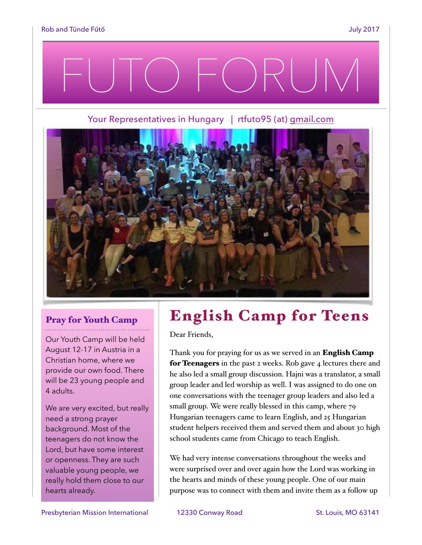# FUTO FORUM

Your Representatives in Hungary | rtfuto95 (at) [gmail.com](http://gmail.com)



## Pray for Youth Camp

Our Youth Camp will be held August 12-17 in Austria in a Christian home, where we provide our own food. There will be 23 young people and 4 adults.

We are very excited, but really need a strong prayer background. Most of the teenagers do not know the Lord, but have some interest or openness. They are such valuable young people, we really hold them close to our hearts already.

## English Camp for Teens

Dear Friends,

Thank you for praying for us as we served in an **English Camp** for Teenagers in the past 2 weeks. Rob gave 4 lectures there and he also led a small group discussion. Hajni was a translator, a small group leader and led worship as well. I was assigned to do one on one conversations with the teenager group leaders and also led a small group. We were really blessed in this camp, where 79 Hungarian teenagers came to learn English, and 25 Hungarian student helpers received them and served them and about 30 high school students came from Chicago to teach English.

We had very intense conversations throughout the weeks and were surprised over and over again how the Lord was working in the hearts and minds of these young people. One of our main purpose was to connect with them and invite them as a follow up